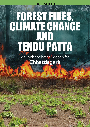# Forest Fires, CLIMATE CHANGE and Tendu Patrici **FACTSHEET**

An Evidence-based Analysis for Chhattisgarh

19<br>|<br>|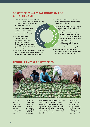## Forest fires – a vital concern for **CHHATTISGARH**

 $z_{\lambda}$ 

C<sub>HANGE</sub>

 $\mathbf{z}$  $\mathbf{u}$ 

- • Global temperature increase will exceed 1.5°C & 2°C during the 21st century, making extensive mitigation & adaptation action an urgent priority.
- Extreme weather events are becoming more frequent and intense – being closely witnessed by Chhattisgarh.
- The State Center for Climate Change is strengthening the state's commitment towards climate action given the high vulnerability of its population to climate change.
- The issue of increasing forest fire incidences needs to be addressed explicitly due to its circular relationship with climate change.

• Carbon sequestration benefits of forests are being threatened by rising degradation/forest fires.

 $\mathsf{u}$ s  $\rightarrow$  $\mathcal{F}$  $\dot{\delta}$  $\zeta$ 

- • Over 45% of Chhattisgarh's forest area is extremely to moderately fire prone.  $\hat{C}$ 
	- 38,106 forest fires were recorded in the state during the last forest fire season (Nov 2020-June 2021), third highest among the states.
	- While tracking & alert systems have improved, control & management remains inadequate.
- • Limited understanding of specific responsible factors (95% human-made) and restricting focused action.

## Tendu leaves & forest fires



Leaves of tendu or *Diospyros melanoxylon*  tree are widely used for making bidis.

>300,000 mt of tendu leaves are collected every year for producing >400 billion bidi sticks.

Uncontrolled fires are reported in the tendu areas, as there is a traditional practice of using fires to cut back the young exposed shoots of tendu plant and to injure its roots so that they may coppice and produce fresh, green, good quality leaves for bidi rolling.

The practice has no scientific validity and is prohibited by law and discouraged by the state, but is still widely practiced.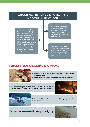## Exploring the tendu & forest fire linkage is important

- A prominent non-timber forest produce (NTFP) supported strongly by the state machinery – nationalized produce in Chhattisgarh since 1964
- **•** Chhattisgarh is the secondlargest producer of tendu leaves in the country, producing over 17 lakh standard bags annually (2017).

Tendu is used primarily to manufacture bidis, estimated to cost the nation ₹800 billion annually in illnesses and early deaths.

Significant contribution to forest health degradation, causing massive loss of flora and fauna and depletion of soil and water quality

### iFOREST Study Objective & Approach



- To establish linkages between collection of tendu leaves and forest fires
- To assess the impact in terms of burnt area & emissions

Focus on Chhattisgarh, Maharashtra & Odisha - 36 per cent of forest fires incidences, 35 per cent of tendu leaf collection





Utilize available satellite data on forest fires, vegetation type & emissions

Mix of mapping, spatial, statistical, modeling and back-of-theenvelope analysis tools

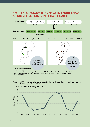## Result 1: Substantial overlap in tendu areas & forest fire points in Chhattisgarh







Source for forest fire points (FFPs): NASA's MODIS dataset

Source tendu sample points: P.S. Roy, S.P.S. Kushwaha, M.S.R. Murthy, A. Roy, M.C. Porwal, et al. 2012. Biodiversity Characterization at Landscape Level: National Assessment. Indian Institute of Remote Sensing, ISRO, Dehradun, India, ISBN: 81-901418-8-0

Tendu-linked FFPs observed to be fluctuating during the past decade, showing a decline around the mid-years (2013-2015) and then in 2020.



Tendu-linked forest fires during 2011-21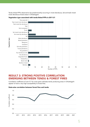Tendu-linked FFPs observed to be predominantly occurring in moist deciduous, Sal and teak mixed moist deciduous forest areas in Chhattisgarh.



#### Vegetation type associated with tendu-linked FFPs in 2011-21

## Result 2: Strong positive correlation emerging between tendu & forest fires

Correlation coefficient of over 0.7 for most years indicates tendu producing areas in Chhattisgarh appear to have a very high susceptibility to forest fires.



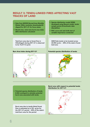## Result 3: Tendu-linked fires affecting vast tracks of land

- • Data from MODIS Burned Area Monthly Global; 500m resolution downloaded & clipped for 2011-21 for focus states
- Month-wise, state-wise burnt area index (BAI) distribution calculated

Total burn area due to forest fires in Chhattisgarh during 2011-21 is observed to be 15,217.5 sq km



- • Species distribution model (SDM) developed using Maxent model, tendu sample points & bioclimatic data (WorldClim)
- ROC curve and Jack knife test of variable importance conducted

SDM finds tendu to be located across 22,904 sq km ~ 38% of the state's forest land area

#### Burn Area Index during 2011-21 Potential species distribution of tendu



• Potential species distribution of tendu & BAI overlayed to calculate potential burnt area associated with tendu

Burnt area due to tendu-linked forest fires is estimated at 6,120 sq km for the 2011-21 period  $\sim$  40% of the state's total burn area for the period

#### Burnt area with respect to potential tendu distribution for 2011-21

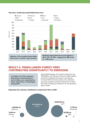

#### Year-wise, month-wise tendu-linked burnt area

Majority of the modeled tendu-linked burnt area is in March, April and May

2012, 2017 & 2021, ranging from 800 sq km to 1,300 sq km

## Result 4: Tendu-linked forest fires contributing significantly to emissions

6.4 million mt of  $CO<sub>2</sub>$  emissions, Equivalent to annual emissions by 2.6 million cars, dominated by tendu related fires in Chhattisgarh during 2021

Data & Methodology: CO emissions data from the TROPOMI on the Sentinel 5 Precursor (S5P) satellite, treated for background emissions, and clipped for tendu BAI for the three states. CO $_{\textrm{\tiny{2}}}$  estimated assuming modified combustion efficiency for forest fires with smouldering combustion for dry deciduous type of forest.

#### Estimated CO<sub>2</sub> emissions attributed to tendu-forest fires in 2021